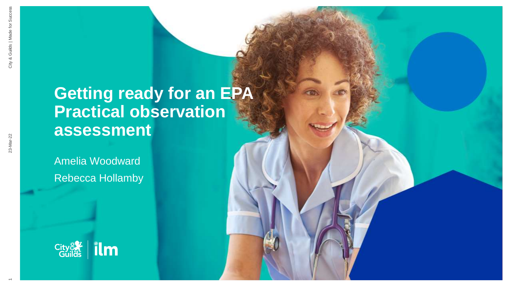# **Getting ready for an EPA Practical observation assessment**

Amelia Woodward Rebecca Hollamby



 $\overline{\phantom{0}}$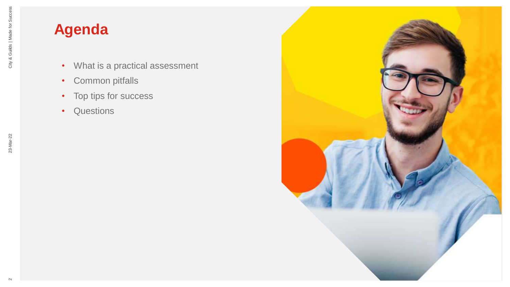23-Mar-22

# **Agenda**

- What is a practical assessment
- Common pitfalls
- Top tips for success
- Questions

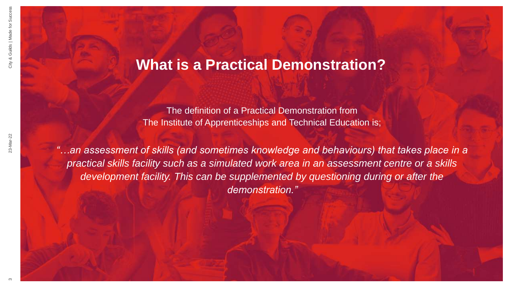## **What is a Practical Demonstration?**

The definition of a Practical Demonstration from The Institute of Apprenticeships and Technical Education is;

*"…an assessment of skills (and sometimes knowledge and behaviours) that takes place in a practical skills facility such as a simulated work area in an assessment centre or a skills development facility. This can be supplemented by questioning during or after the demonstration."*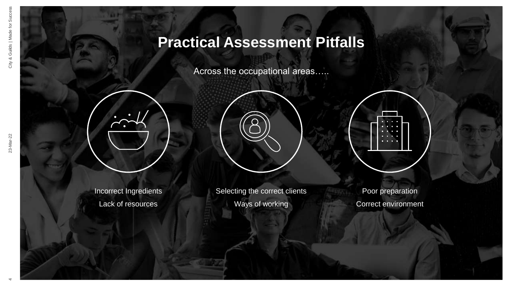## **Practical Assessment Pitfalls**

Across the occupational areas…..



Incorrect Ingredients Lack of resources



Selecting the correct clients Ways of working

Poor preparation Correct environment

4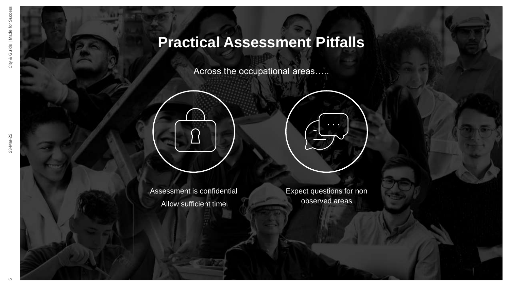## **Practical Assessment Pitfalls**

Across the occupational areas…..

Assessment is confidential Allow sufficient time

Expect questions for non observed areas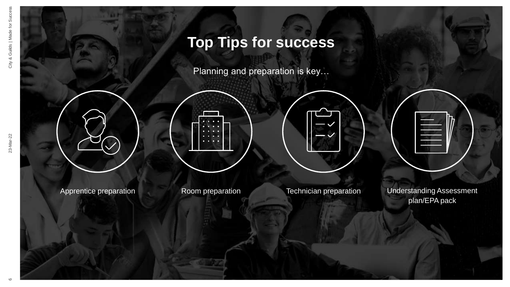Planning and preparation is key…



Apprentice preparation **Room preparation** Technician preparation Understanding Assessment plan/EPA pack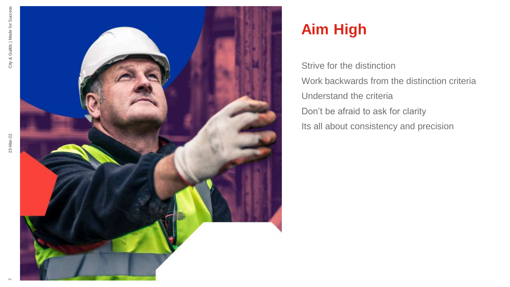

# **Aim High**

Strive for the distinction Work backwards from the distinction criteria Understand the criteria Don't be afraid to ask for clarity Its all about consistency and precision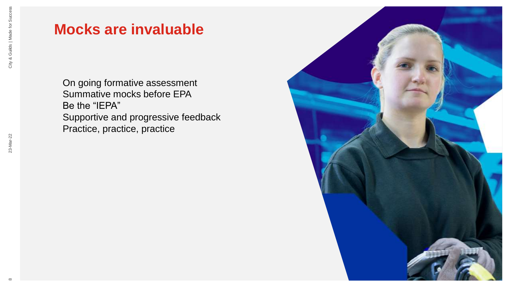23-Mar-22

#### **Mocks are invaluable**

On going formative assessment Summative mocks before EPA Be the "IEPA" Supportive and progressive feedback Practice, practice, practice

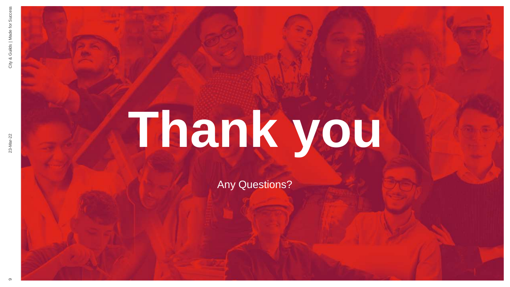# **Thank you**

Any Questions?